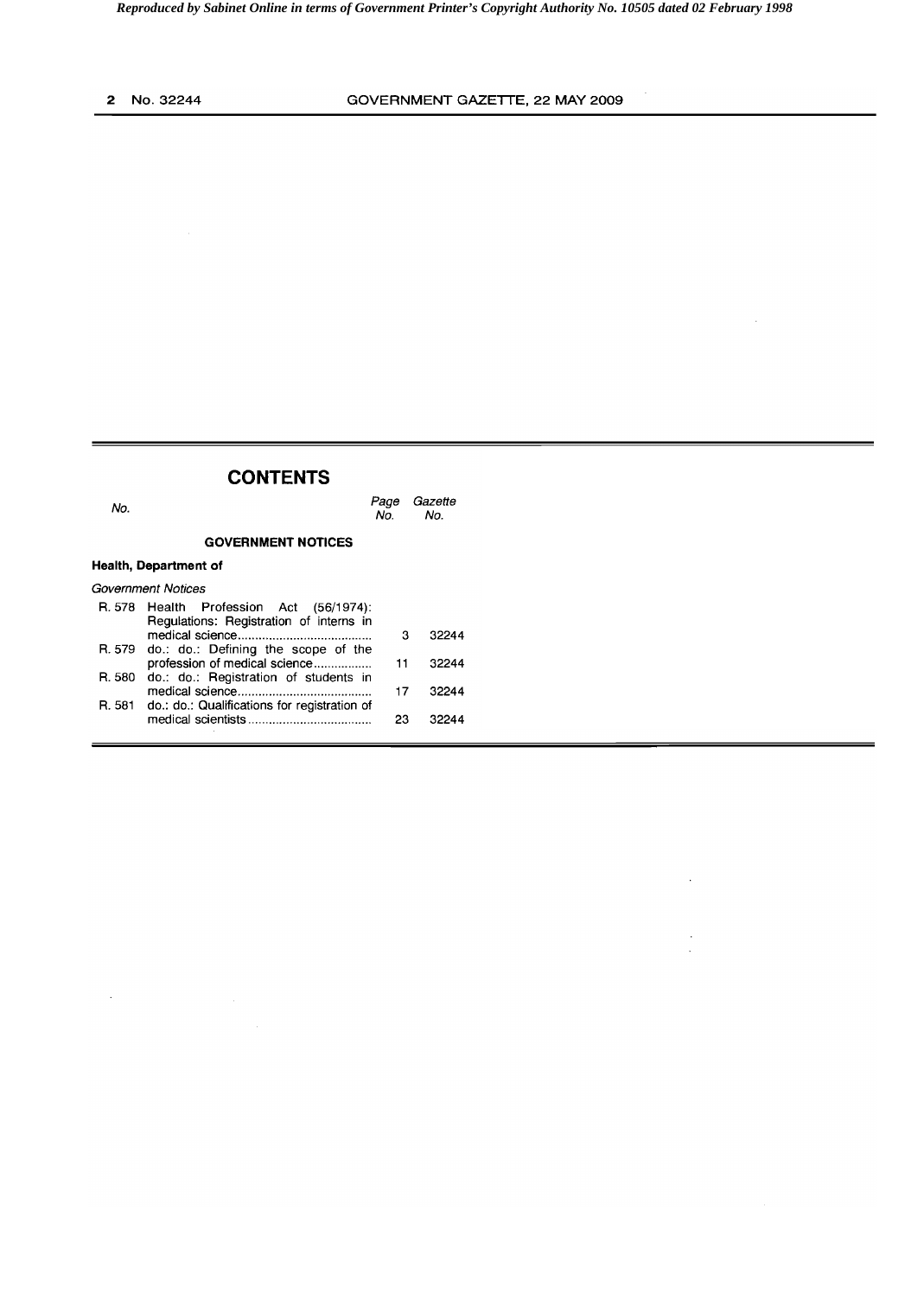$\bar{\beta}$ 

 $\mathcal{L}$ 

 $\ddot{\phantom{a}}$ 

## **CONTENTS**

| No.                   |                                                                                    | Page<br>No. | Gazette<br>No. |
|-----------------------|------------------------------------------------------------------------------------|-------------|----------------|
|                       | <b>GOVERNMENT NOTICES</b>                                                          |             |                |
| Health, Department of |                                                                                    |             |                |
| Government Notices    |                                                                                    |             |                |
|                       | R. 578 Health Profession Act (56/1974):<br>Regulations: Registration of interns in | з           | 32244          |
|                       | R. 579 do.: do.: Defining the scope of the<br>profession of medical science        | 11          | 32244          |
| R. 580                | do.: do.: Registration of students in                                              | 17          | 32244          |
|                       | R. 581 do.: do.: Qualifications for registration of                                | 23          | 32244          |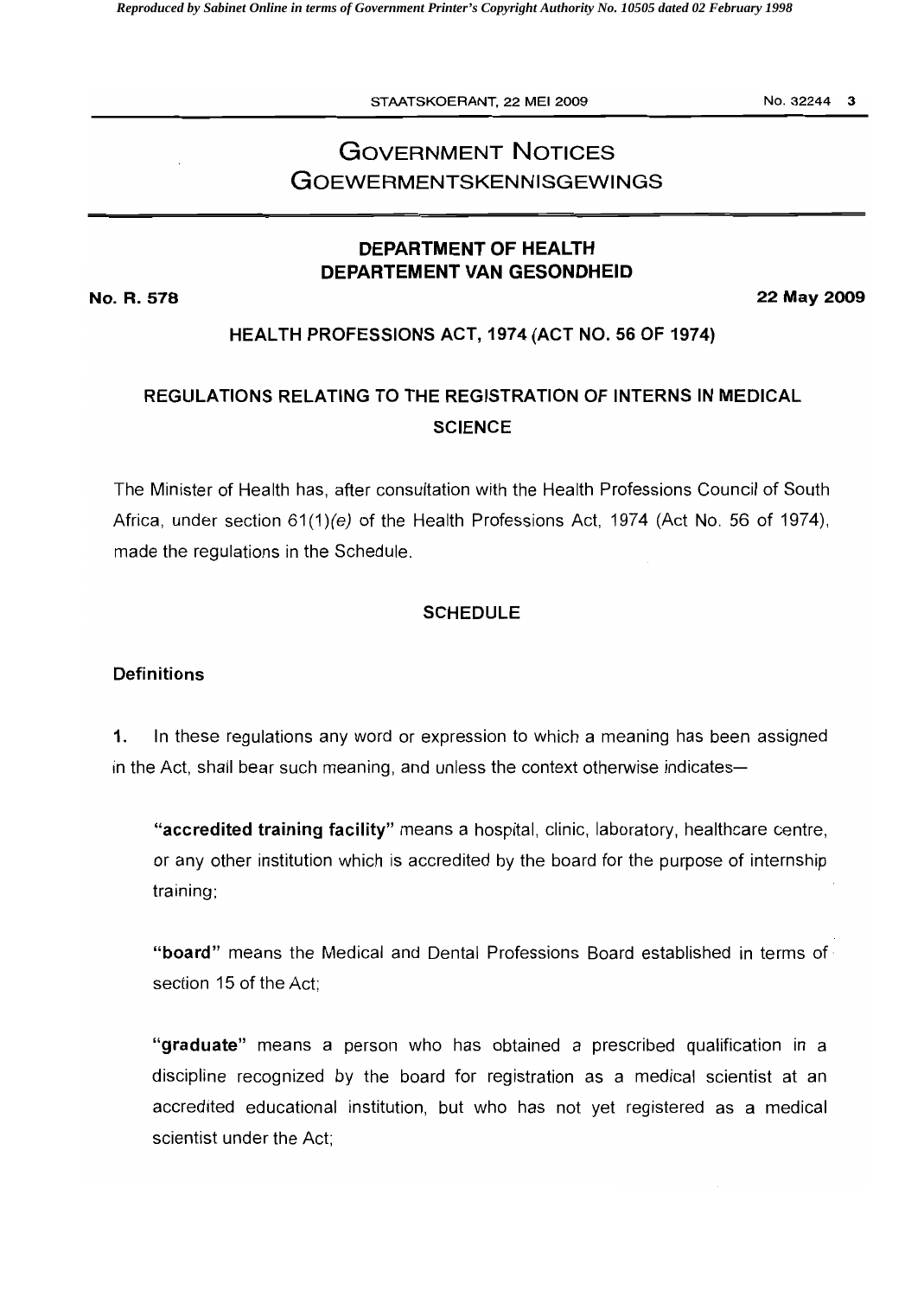STAATSKOERANT, 22 MEI 2009 No. 32244 3

# **GOVERNMENT NOTICES GOEWERMENTSKENNISGEWINGS**

## **DEPARTMENT OF HEALTH DEPARTEMENT VAN GESONDHEID**

**No. R. 578 22 May 2009** 

## **HEALTH PROFESSIONS ACT, 1974 (ACT NO. 56 OF 1974)**

## **REGULATIONS RELATING TO THE REGISTRATION OF INTERNS IN MEDICAL SCIENCE**

The Minister of Health has, after consultation with the Health Professions Council of South Africa, under section 61(1)(e) of the Health Professions Act, 1974 (Act No. 56 of 1974), made the regulations in the Schedule.

### **SCHEDULE**

### **Definitions**

**1.** In these regulations any word or expression to which a meaning has been assigned in the Act, shall bear such meaning, and unless the context otherwise indicates

**"accredited training facility"** means a hospital, clinic, laboratory, healthcare centre, or any other institution which is accredited by the board for the purpose of internship training;

**"board"** means the Medical and Dental Professions Board established in terms of section 15 of the Act;

**"graduate"** means a person who has obtained a prescribed qualification in a discipline recognized by the board for registration as a medical scientist at an accredited educational institution, but who has not yet registered as a medical scientist under the Act;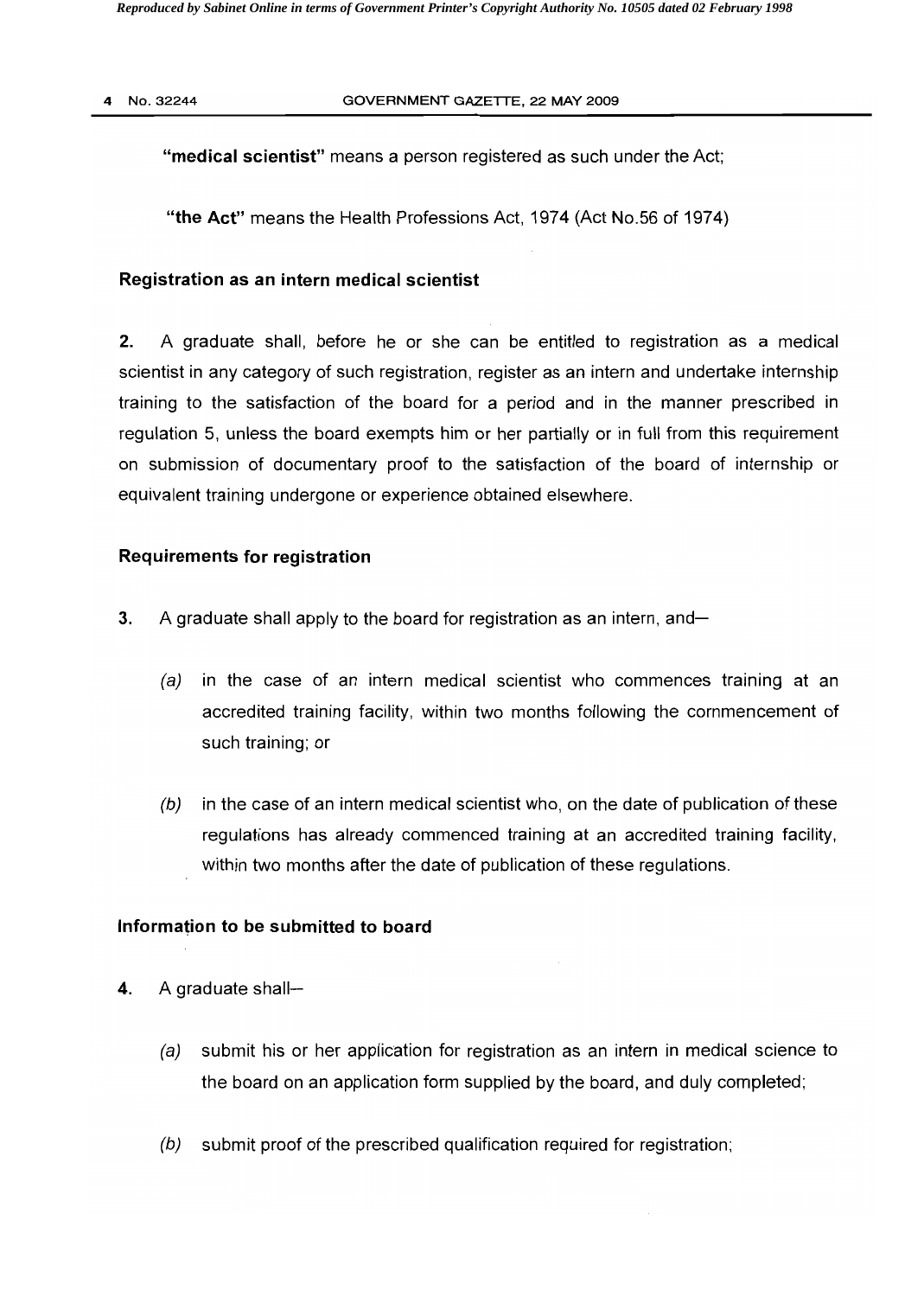"medical scientist" means a person registered as such under the Act;

"the Act" means the Health Professions Act, 1974 (Act NO.56 of 1974)

#### Registration as an intern medical scientist

2. A graduate shall, before he or she can be entitled to registration as a medical scientist in any category of such registration, register as an intern and undertake internship training to the satisfaction of the board for a period and in the manner prescribed in regulation 5, unless the board exempts him or her partially or in full from this requirement on submission of documentary proof to the satisfaction of the board of internship or equivalent training undergone or experience obtained elsewhere.

### Requirements for registration

- **3.** A graduate shall apply to the board for registration as an intern, and
	- $(a)$  in the case of an intern medical scientist who commences training at an accredited training facility, within two months following the commencement of such training; or
	- $(b)$  in the case of an intern medical scientist who, on the date of publication of these regulations has already commenced training at an accredited training facility, within two months after the date of publication of these regulations.

#### Information to be submitted to board

- 4. A graduate shall--
	- (a) submit his or her application for registration as an intern in medical science to the board on an application form supplied by the board, and duly completed;
	- $(b)$  submit proof of the prescribed qualification required for registration;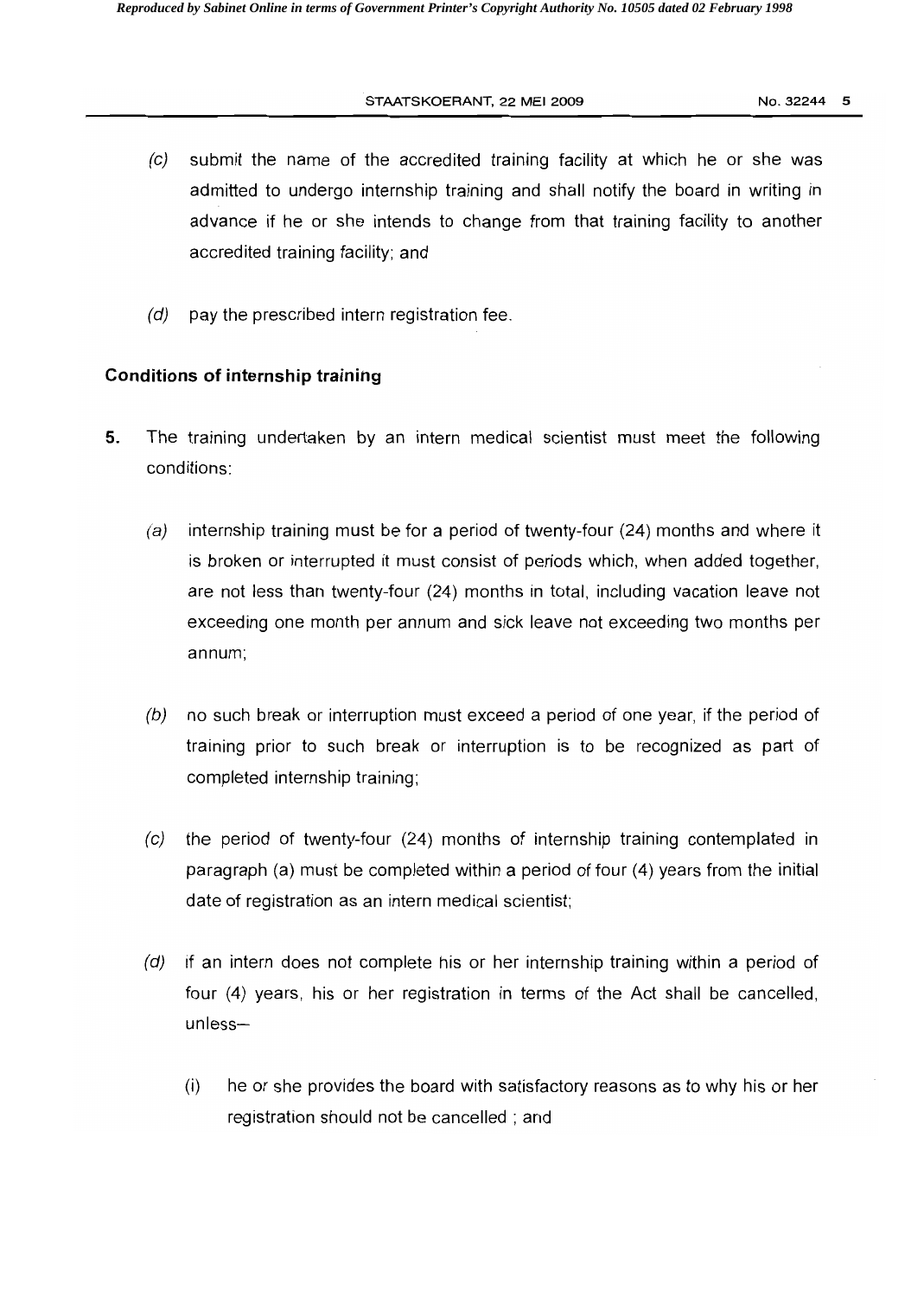#### STAATSKOERANT, 22 MEI 2009 No. 32244 5

- $(c)$  submit the name of the accredited training facility at which he or she was admitted to undergo intemship training and shall notify the board in writing in advance if he or she intends to change from that training facility to another accredited training facility; and
- $(d)$  pay the prescribed intern registration fee.

### **Conditions of internship training**

- **5.** The training undertaken by an intern medical scientist must meet the following conditions:
	- (a) internship training must be for a period of twenty-four  $(24)$  months and where it is broken or interrupted it must consist of periods which, when added together, are not less than twenty-four (24) months in total, including vacation leave not exceeding one month per annum and sick leave not exceeding two months per annum;
	- (b) no such break or interruption must exceed a period of one year, if the period of training prior to such break or interruption is to be recognized as part of completed internship training;
	- (c) the period of twenty-four (24) months of internship training contemplated in paragraph (a) must be completed within a period of four (4) years from the initial date of registration as an intern medical scientist;
	- $(d)$  if an intern does not complete his or her internship training within a period of four (4) years, his or her registration in terms of the Act shall be cancelled, unless
		- (i) he or she provides the board with satisfactory reasons as to why his or her registration should not be cancelled; and